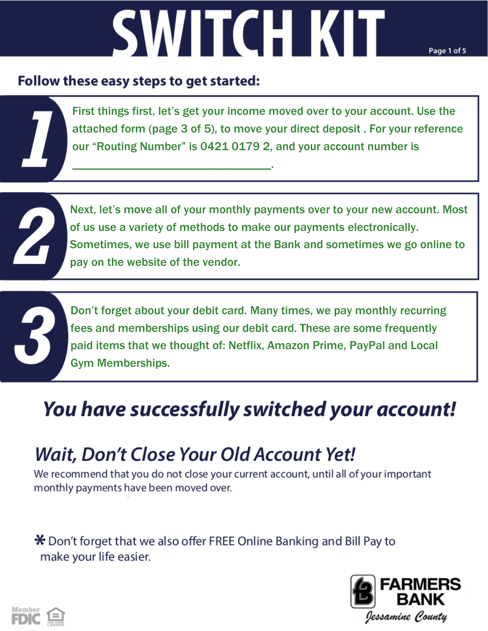# **SWITCH KIT**

Page 1 of 5

#### Follow these easy steps to get started:

\_\_\_\_\_\_\_\_\_\_\_\_\_\_\_\_\_\_\_\_\_\_\_\_\_\_\_\_\_\_\_\_\_.

First things first, let's get your income moved over to your account. Use the attached form (page 3 of 5), to move your direct deposit . For your reference our "Routing Number" is 0421 0179 2, and your account number is



Next, let's move all of your monthly payments over to your new account. Most of us use a variety of methods to make our payments electronically. Sometimes, we use bill payment at the Bank and sometimes we go online to pay on the website of the vendor.

Don't forget about your debit card. Many times, we pay monthly recurring fees and memberships using our debit card. These are some frequently paid items that we thought of: Netflix, Amazon Prime, PayPal and Local Gym Memberships.

## You have successfully switched your account!

### **Wait, Don't Close Your Old Account Yet!**

We recommend that you do not close your current account, until all of your important monthly payments have been moved over.

\* Don't forget that we also offer FREE Online Banking and Bill Pay to make your life easier.



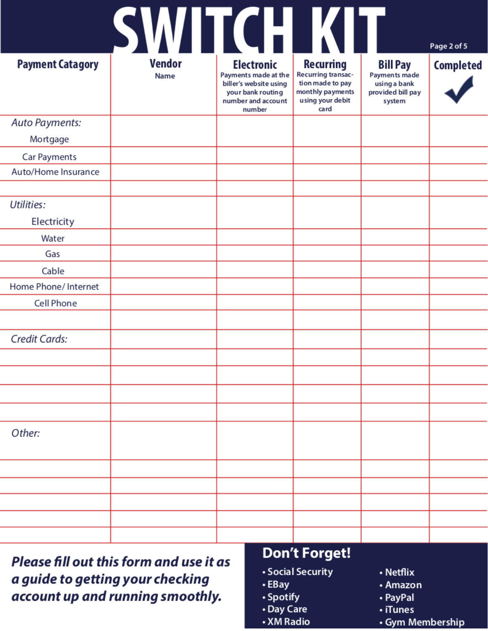|                         | SWITCHTKU             |                                                                                                                          |                                                                                                            |                                                                                 | Page 2 of 5      |
|-------------------------|-----------------------|--------------------------------------------------------------------------------------------------------------------------|------------------------------------------------------------------------------------------------------------|---------------------------------------------------------------------------------|------------------|
| <b>Payment Catagory</b> | <b>Vendor</b><br>Name | <b>Electronic</b><br>Payments made at the<br>biller's website using<br>your bank routing<br>number and account<br>number | <b>Recurring</b><br>Recurring transac-<br>tion made to pay<br>monthly payments<br>using your debit<br>card | <b>Bill Pay</b><br>Payments made<br>using a bank<br>provided bill pay<br>system | <b>Completed</b> |
| Auto Payments:          |                       |                                                                                                                          |                                                                                                            |                                                                                 |                  |
| Mortgage                |                       |                                                                                                                          |                                                                                                            |                                                                                 |                  |
| Car Payments            |                       |                                                                                                                          |                                                                                                            |                                                                                 |                  |
| Auto/Home Insurance     |                       |                                                                                                                          |                                                                                                            |                                                                                 |                  |
|                         |                       |                                                                                                                          |                                                                                                            |                                                                                 |                  |
| Utilities:              |                       |                                                                                                                          |                                                                                                            |                                                                                 |                  |
| Electricity             |                       |                                                                                                                          |                                                                                                            |                                                                                 |                  |
| Water                   |                       |                                                                                                                          |                                                                                                            |                                                                                 |                  |
| Gas                     |                       |                                                                                                                          |                                                                                                            |                                                                                 |                  |
| Cable                   |                       |                                                                                                                          |                                                                                                            |                                                                                 |                  |
| Home Phone/ Internet    |                       |                                                                                                                          |                                                                                                            |                                                                                 |                  |
| Cell Phone              |                       |                                                                                                                          |                                                                                                            |                                                                                 |                  |
|                         |                       |                                                                                                                          |                                                                                                            |                                                                                 |                  |
| Credit Cards:           |                       |                                                                                                                          |                                                                                                            |                                                                                 |                  |
|                         |                       |                                                                                                                          |                                                                                                            |                                                                                 |                  |
|                         |                       |                                                                                                                          |                                                                                                            |                                                                                 |                  |
|                         |                       |                                                                                                                          |                                                                                                            |                                                                                 |                  |
|                         |                       |                                                                                                                          |                                                                                                            |                                                                                 |                  |
| Other:                  |                       |                                                                                                                          |                                                                                                            |                                                                                 |                  |
|                         |                       |                                                                                                                          |                                                                                                            |                                                                                 |                  |
|                         |                       |                                                                                                                          |                                                                                                            |                                                                                 |                  |
|                         |                       |                                                                                                                          |                                                                                                            |                                                                                 |                  |
|                         |                       |                                                                                                                          |                                                                                                            |                                                                                 |                  |
|                         |                       |                                                                                                                          |                                                                                                            |                                                                                 |                  |

Please fill out this form and use it as a guide to getting your checking account up and running smoothly.

#### **Don't Forget!**

- Social Security
- EBay
- Spotify
- Day Care
- XM Radio
- Netflix
- Amazon
- PayPal
- · iTunes
- Gym Membership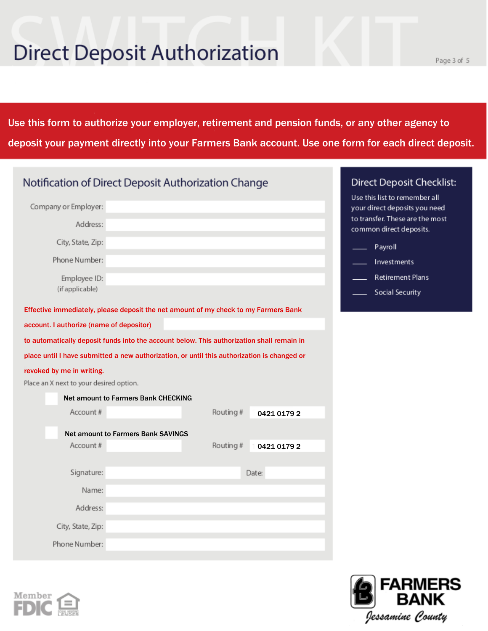# **Direct Deposit Authorization**

 $\mathcal{L}_\text{max}$  and  $\mathcal{L}_\text{max}$  are the set of the set of the set of the set of the set of the set of the set of the set of the set of the set of the set of the set of the set of the set of the set of the set of the set o

Use this form to authorize your employer, retirement and pension funds, or any other agency to deposit your payment directly into your Farmers Bank account. Use one form for each direct deposit.

| Notification of Direct Deposit Authorization Change                                         |                         | <b>Direct Deposit Checklist:</b>                               |
|---------------------------------------------------------------------------------------------|-------------------------|----------------------------------------------------------------|
| Company or Employer:                                                                        |                         | Use this list to remember all<br>your direct deposits you need |
| Address:                                                                                    |                         | to transfer. These are the most<br>common direct deposits.     |
| City, State, Zip:                                                                           |                         | Payroll                                                        |
| Phone Number:                                                                               |                         | Investments                                                    |
| Employee ID:                                                                                |                         | <b>Retirement Plans</b>                                        |
| (if applicable)                                                                             |                         | Social Security                                                |
| Effective immediately, please deposit the net amount of my check to my Farmers Bank         |                         |                                                                |
| account. I authorize (name of depositor)                                                    |                         |                                                                |
| to automatically deposit funds into the account below. This authorization shall remain in   |                         |                                                                |
| place until I have submitted a new authorization, or until this authorization is changed or |                         |                                                                |
| revoked by me in writing.                                                                   |                         |                                                                |
| Place an X next to your desired option.                                                     |                         |                                                                |
| <b>Net amount to Farmers Bank CHECKING</b>                                                  |                         |                                                                |
| Account#                                                                                    | Routing#<br>0421 0179 2 |                                                                |
| <b>Net amount to Farmers Bank SAVINGS</b>                                                   |                         |                                                                |
| Account #                                                                                   | Routing#<br>0421 0179 2 |                                                                |
|                                                                                             |                         |                                                                |
| Signature:                                                                                  | Date:                   |                                                                |
| Name:                                                                                       |                         |                                                                |
| Address:                                                                                    |                         |                                                                |
| City, State, Zip:                                                                           |                         |                                                                |
| Phone Number:                                                                               |                         |                                                                |





ERS

BANK

Jessamine County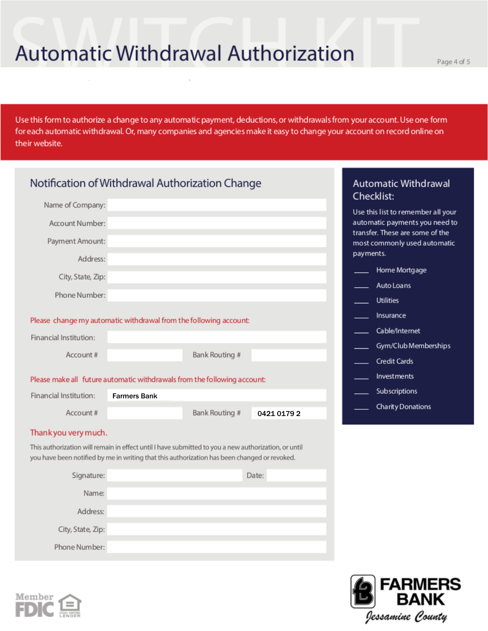## **Automatic Withdrawal Authorization**

Page 4 of 5

Use this form to authorize a change to any automatic payment, deductions, or withdrawals from your account. Use one form for each automatic withdrawal. Or, many companies and agencies make it easy to change your account on record online on their website.

| Notification of Withdrawal Authorization Change |                                                                                                                                                                                                      |             | <b>Automatic Withdrawal</b><br>Checklist:                                    |
|-------------------------------------------------|------------------------------------------------------------------------------------------------------------------------------------------------------------------------------------------------------|-------------|------------------------------------------------------------------------------|
| Name of Company:                                |                                                                                                                                                                                                      |             | Use this list to remember all your                                           |
| Account Number:                                 |                                                                                                                                                                                                      |             | automatic payments you need to                                               |
| Payment Amount:                                 |                                                                                                                                                                                                      |             | transfer. These are some of the<br>most commonly used automatic<br>payments. |
| Address:                                        |                                                                                                                                                                                                      |             |                                                                              |
| City, State, Zip:                               |                                                                                                                                                                                                      |             | Home Mortgage                                                                |
| Phone Number:                                   |                                                                                                                                                                                                      |             | Auto Loans                                                                   |
|                                                 |                                                                                                                                                                                                      |             | <b>Utilities</b>                                                             |
|                                                 | Please change my automatic withdrawal from the following account:                                                                                                                                    |             | Insurance                                                                    |
| Financial Institution:                          |                                                                                                                                                                                                      |             | Cable/Internet                                                               |
| Account#                                        | Bank Routing #                                                                                                                                                                                       |             | Gym/Club Memberships                                                         |
|                                                 |                                                                                                                                                                                                      |             | Credit Cards                                                                 |
|                                                 | Please make all future automatic withdrawals from the following account:                                                                                                                             |             | Investments                                                                  |
| Financial Institution:                          | <b>Farmers Bank</b>                                                                                                                                                                                  |             | Subscriptions                                                                |
| Account#                                        | Bank Routing #                                                                                                                                                                                       | 0421 0179 2 | Charity Donations                                                            |
| Thank you very much.                            |                                                                                                                                                                                                      |             |                                                                              |
|                                                 | This authorization will remain in effect until I have submitted to you a new authorization, or until<br>you have been notified by me in writing that this authorization has been changed or revoked. |             |                                                                              |
| Signature:                                      |                                                                                                                                                                                                      | Date:       |                                                                              |
| Name:                                           |                                                                                                                                                                                                      |             |                                                                              |
| Address:                                        |                                                                                                                                                                                                      |             |                                                                              |
| City, State, Zip:                               |                                                                                                                                                                                                      |             |                                                                              |

Phone Number: